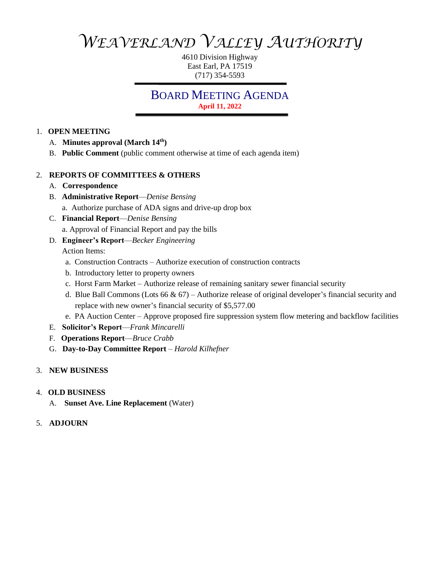*WEAVERLAND VALLEY AUTHORITY*

4610 Division Highway East Earl, PA 17519 (717) 354-5593

# BOARD MEETING AGENDA **April 11, 2022**

### 1. **OPEN MEETING**

- A. **Minutes approval (March 14th)**
- B. **Public Comment** (public comment otherwise at time of each agenda item)

# 2. **REPORTS OF COMMITTEES & OTHERS**

- A. **Correspondence**
- B. **Administrative Report**—*Denise Bensing* a. Authorize purchase of ADA signs and drive-up drop box
- C. **Financial Report**—*Denise Bensing* a. Approval of Financial Report and pay the bills
- D. **Engineer's Report**—*Becker Engineering* Action Items:
	- a. Construction Contracts Authorize execution of construction contracts
	- b. Introductory letter to property owners
	- c. Horst Farm Market Authorize release of remaining sanitary sewer financial security
	- d. Blue Ball Commons (Lots 66 & 67) Authorize release of original developer's financial security and replace with new owner's financial security of \$5,577.00
	- e. PA Auction Center Approve proposed fire suppression system flow metering and backflow facilities
- E. **Solicitor's Report**—*Frank Mincarelli*
- F. **Operations Report**—*Bruce Crabb*
- G. **Day-to-Day Committee Report** *Harold Kilhefner*

# 3. **NEW BUSINESS**

# 4. **OLD BUSINESS**

- A. **Sunset Ave. Line Replacement** (Water)
- 5. **ADJOURN**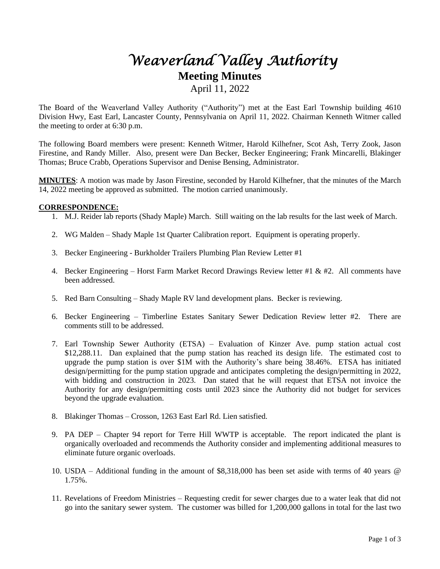# *Weaverland Valley Authority*  **Meeting Minutes**

April 11, 2022

The Board of the Weaverland Valley Authority ("Authority") met at the East Earl Township building 4610 Division Hwy, East Earl, Lancaster County, Pennsylvania on April 11, 2022. Chairman Kenneth Witmer called the meeting to order at 6:30 p.m.

The following Board members were present: Kenneth Witmer, Harold Kilhefner, Scot Ash, Terry Zook, Jason Firestine, and Randy Miller. Also, present were Dan Becker, Becker Engineering; Frank Mincarelli, Blakinger Thomas; Bruce Crabb, Operations Supervisor and Denise Bensing, Administrator.

**MINUTES**: A motion was made by Jason Firestine, seconded by Harold Kilhefner, that the minutes of the March 14, 2022 meeting be approved as submitted. The motion carried unanimously.

#### **CORRESPONDENCE:**

- 1. M.J. Reider lab reports (Shady Maple) March. Still waiting on the lab results for the last week of March.
- 2. WG Malden Shady Maple 1st Quarter Calibration report. Equipment is operating properly.
- 3. Becker Engineering Burkholder Trailers Plumbing Plan Review Letter #1
- 4. Becker Engineering Horst Farm Market Record Drawings Review letter #1 & #2. All comments have been addressed.
- 5. Red Barn Consulting Shady Maple RV land development plans. Becker is reviewing.
- 6. Becker Engineering Timberline Estates Sanitary Sewer Dedication Review letter #2. There are comments still to be addressed.
- 7. Earl Township Sewer Authority (ETSA) Evaluation of Kinzer Ave. pump station actual cost \$12,288.11. Dan explained that the pump station has reached its design life. The estimated cost to upgrade the pump station is over \$1M with the Authority's share being 38.46%. ETSA has initiated design/permitting for the pump station upgrade and anticipates completing the design/permitting in 2022, with bidding and construction in 2023. Dan stated that he will request that ETSA not invoice the Authority for any design/permitting costs until 2023 since the Authority did not budget for services beyond the upgrade evaluation.
- 8. Blakinger Thomas Crosson, 1263 East Earl Rd. Lien satisfied.
- 9. PA DEP Chapter 94 report for Terre Hill WWTP is acceptable. The report indicated the plant is organically overloaded and recommends the Authority consider and implementing additional measures to eliminate future organic overloads.
- 10. USDA Additional funding in the amount of \$8,318,000 has been set aside with terms of 40 years @ 1.75%.
- 11. Revelations of Freedom Ministries Requesting credit for sewer charges due to a water leak that did not go into the sanitary sewer system. The customer was billed for 1,200,000 gallons in total for the last two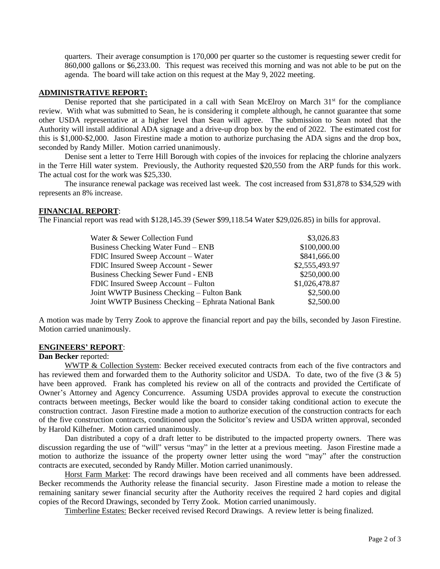quarters. Their average consumption is 170,000 per quarter so the customer is requesting sewer credit for 860,000 gallons or \$6,233.00. This request was received this morning and was not able to be put on the agenda. The board will take action on this request at the May 9, 2022 meeting.

#### **ADMINISTRATIVE REPORT:**

Denise reported that she participated in a call with Sean McElroy on March  $31<sup>st</sup>$  for the compliance review. With what was submitted to Sean, he is considering it complete although, he cannot guarantee that some other USDA representative at a higher level than Sean will agree. The submission to Sean noted that the Authority will install additional ADA signage and a drive-up drop box by the end of 2022. The estimated cost for this is \$1,000-\$2,000. Jason Firestine made a motion to authorize purchasing the ADA signs and the drop box, seconded by Randy Miller. Motion carried unanimously.

Denise sent a letter to Terre Hill Borough with copies of the invoices for replacing the chlorine analyzers in the Terre Hill water system. Previously, the Authority requested \$20,550 from the ARP funds for this work. The actual cost for the work was \$25,330.

The insurance renewal package was received last week. The cost increased from \$31,878 to \$34,529 with represents an 8% increase.

#### **FINANCIAL REPORT**:

The Financial report was read with \$128,145.39 (Sewer \$99,118.54 Water \$29,026.85) in bills for approval.

| Water & Sewer Collection Fund                        | \$3,026.83     |
|------------------------------------------------------|----------------|
| <b>Business Checking Water Fund – ENB</b>            | \$100,000.00   |
| FDIC Insured Sweep Account – Water                   | \$841,666.00   |
| FDIC Insured Sweep Account - Sewer                   | \$2,555,493.97 |
| <b>Business Checking Sewer Fund - ENB</b>            | \$250,000.00   |
| FDIC Insured Sweep Account - Fulton                  | \$1,026,478.87 |
| Joint WWTP Business Checking – Fulton Bank           | \$2,500.00     |
| Joint WWTP Business Checking – Ephrata National Bank | \$2,500.00     |

A motion was made by Terry Zook to approve the financial report and pay the bills, seconded by Jason Firestine. Motion carried unanimously.

#### **ENGINEERS' REPORT**:

#### **Dan Becker** reported:

WWTP & Collection System: Becker received executed contracts from each of the five contractors and has reviewed them and forwarded them to the Authority solicitor and USDA. To date, two of the five (3 & 5) have been approved. Frank has completed his review on all of the contracts and provided the Certificate of Owner's Attorney and Agency Concurrence. Assuming USDA provides approval to execute the construction contracts between meetings, Becker would like the board to consider taking conditional action to execute the construction contract. Jason Firestine made a motion to authorize execution of the construction contracts for each of the five construction contracts, conditioned upon the Solicitor's review and USDA written approval, seconded by Harold Kilhefner. Motion carried unanimously.

Dan distributed a copy of a draft letter to be distributed to the impacted property owners. There was discussion regarding the use of "will" versus "may" in the letter at a previous meeting. Jason Firestine made a motion to authorize the issuance of the property owner letter using the word "may" after the construction contracts are executed, seconded by Randy Miller. Motion carried unanimously.

Horst Farm Market: The record drawings have been received and all comments have been addressed. Becker recommends the Authority release the financial security. Jason Firestine made a motion to release the remaining sanitary sewer financial security after the Authority receives the required 2 hard copies and digital copies of the Record Drawings, seconded by Terry Zook. Motion carried unanimously.

Timberline Estates: Becker received revised Record Drawings. A review letter is being finalized.